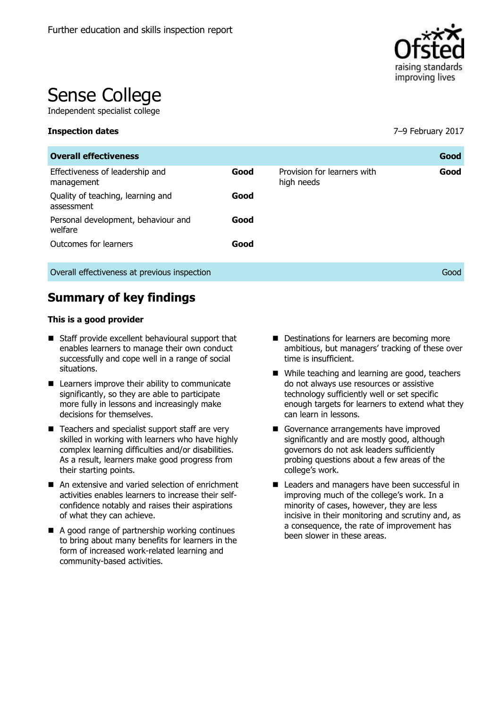

# Sense College

Independent specialist college

| <b>Overall effectiveness</b>                    |      |                                           | Good |
|-------------------------------------------------|------|-------------------------------------------|------|
| Effectiveness of leadership and<br>management   | Good | Provision for learners with<br>high needs | Good |
| Quality of teaching, learning and<br>assessment | Good |                                           |      |
| Personal development, behaviour and<br>welfare  | Good |                                           |      |
| Outcomes for learners                           | Good |                                           |      |
| Overall effectiveness at previous inspection    |      |                                           | Good |

**Summary of key findings**

#### **This is a good provider**

- Staff provide excellent behavioural support that enables learners to manage their own conduct successfully and cope well in a range of social situations.
- Learners improve their ability to communicate significantly, so they are able to participate more fully in lessons and increasingly make decisions for themselves.
- Teachers and specialist support staff are very skilled in working with learners who have highly complex learning difficulties and/or disabilities. As a result, learners make good progress from their starting points.
- An extensive and varied selection of enrichment activities enables learners to increase their selfconfidence notably and raises their aspirations of what they can achieve.
- A good range of partnership working continues to bring about many benefits for learners in the form of increased work-related learning and community-based activities.
- Destinations for learners are becoming more ambitious, but managers' tracking of these over time is insufficient.
- While teaching and learning are good, teachers do not always use resources or assistive technology sufficiently well or set specific enough targets for learners to extend what they can learn in lessons.
- Governance arrangements have improved significantly and are mostly good, although governors do not ask leaders sufficiently probing questions about a few areas of the college's work.
- Leaders and managers have been successful in improving much of the college's work. In a minority of cases, however, they are less incisive in their monitoring and scrutiny and, as a consequence, the rate of improvement has been slower in these areas.

**Inspection dates** 7–9 February 2017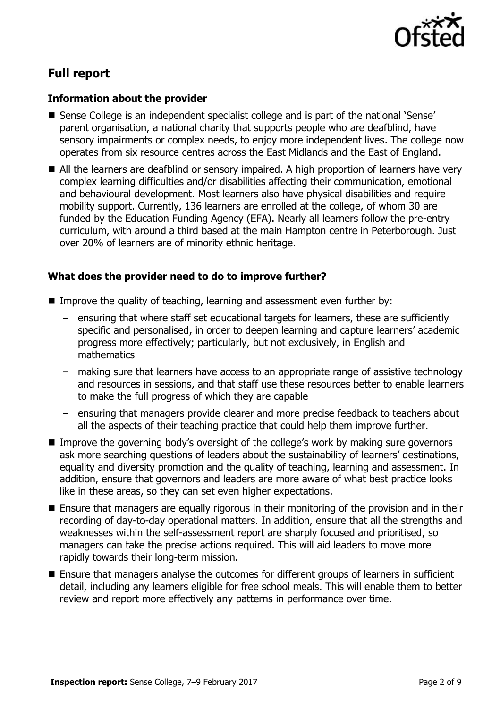

# **Full report**

# **Information about the provider**

- Sense College is an independent specialist college and is part of the national 'Sense' parent organisation, a national charity that supports people who are deafblind, have sensory impairments or complex needs, to enjoy more independent lives. The college now operates from six resource centres across the East Midlands and the East of England.
- All the learners are deafblind or sensory impaired. A high proportion of learners have very complex learning difficulties and/or disabilities affecting their communication, emotional and behavioural development. Most learners also have physical disabilities and require mobility support. Currently, 136 learners are enrolled at the college, of whom 30 are funded by the Education Funding Agency (EFA). Nearly all learners follow the pre-entry curriculum, with around a third based at the main Hampton centre in Peterborough. Just over 20% of learners are of minority ethnic heritage.

# **What does the provider need to do to improve further?**

- Improve the quality of teaching, learning and assessment even further by:
	- ensuring that where staff set educational targets for learners, these are sufficiently specific and personalised, in order to deepen learning and capture learners' academic progress more effectively; particularly, but not exclusively, in English and mathematics
	- making sure that learners have access to an appropriate range of assistive technology and resources in sessions, and that staff use these resources better to enable learners to make the full progress of which they are capable
	- ensuring that managers provide clearer and more precise feedback to teachers about all the aspects of their teaching practice that could help them improve further.
- Improve the governing body's oversight of the college's work by making sure governors ask more searching questions of leaders about the sustainability of learners' destinations, equality and diversity promotion and the quality of teaching, learning and assessment. In addition, ensure that governors and leaders are more aware of what best practice looks like in these areas, so they can set even higher expectations.
- Ensure that managers are equally rigorous in their monitoring of the provision and in their recording of day-to-day operational matters. In addition, ensure that all the strengths and weaknesses within the self-assessment report are sharply focused and prioritised, so managers can take the precise actions required. This will aid leaders to move more rapidly towards their long-term mission.
- Ensure that managers analyse the outcomes for different groups of learners in sufficient detail, including any learners eligible for free school meals. This will enable them to better review and report more effectively any patterns in performance over time.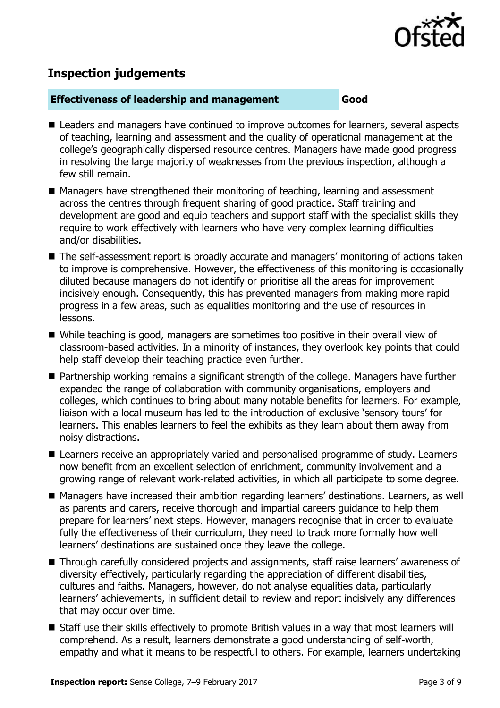

# **Inspection judgements**

# **Effectiveness of leadership and management Good**

- Leaders and managers have continued to improve outcomes for learners, several aspects of teaching, learning and assessment and the quality of operational management at the college's geographically dispersed resource centres. Managers have made good progress in resolving the large majority of weaknesses from the previous inspection, although a few still remain.
- Managers have strengthened their monitoring of teaching, learning and assessment across the centres through frequent sharing of good practice. Staff training and development are good and equip teachers and support staff with the specialist skills they require to work effectively with learners who have very complex learning difficulties and/or disabilities.
- The self-assessment report is broadly accurate and managers' monitoring of actions taken to improve is comprehensive. However, the effectiveness of this monitoring is occasionally diluted because managers do not identify or prioritise all the areas for improvement incisively enough. Consequently, this has prevented managers from making more rapid progress in a few areas, such as equalities monitoring and the use of resources in lessons.
- While teaching is good, managers are sometimes too positive in their overall view of classroom-based activities. In a minority of instances, they overlook key points that could help staff develop their teaching practice even further.
- Partnership working remains a significant strength of the college. Managers have further expanded the range of collaboration with community organisations, employers and colleges, which continues to bring about many notable benefits for learners. For example, liaison with a local museum has led to the introduction of exclusive 'sensory tours' for learners. This enables learners to feel the exhibits as they learn about them away from noisy distractions.
- Learners receive an appropriately varied and personalised programme of study. Learners now benefit from an excellent selection of enrichment, community involvement and a growing range of relevant work-related activities, in which all participate to some degree.
- Managers have increased their ambition regarding learners' destinations. Learners, as well as parents and carers, receive thorough and impartial careers guidance to help them prepare for learners' next steps. However, managers recognise that in order to evaluate fully the effectiveness of their curriculum, they need to track more formally how well learners' destinations are sustained once they leave the college.
- Through carefully considered projects and assignments, staff raise learners' awareness of diversity effectively, particularly regarding the appreciation of different disabilities, cultures and faiths. Managers, however, do not analyse equalities data, particularly learners' achievements, in sufficient detail to review and report incisively any differences that may occur over time.
- Staff use their skills effectively to promote British values in a way that most learners will comprehend. As a result, learners demonstrate a good understanding of self-worth, empathy and what it means to be respectful to others. For example, learners undertaking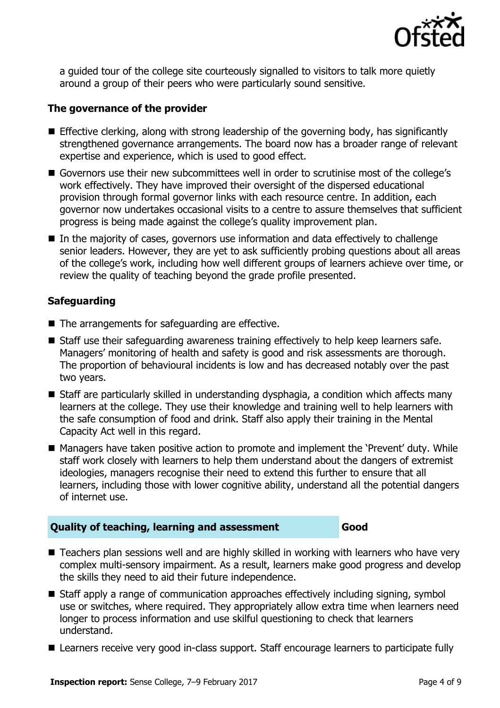

a guided tour of the college site courteously signalled to visitors to talk more quietly around a group of their peers who were particularly sound sensitive.

# **The governance of the provider**

- Effective clerking, along with strong leadership of the governing body, has significantly strengthened governance arrangements. The board now has a broader range of relevant expertise and experience, which is used to good effect.
- Governors use their new subcommittees well in order to scrutinise most of the college's work effectively. They have improved their oversight of the dispersed educational provision through formal governor links with each resource centre. In addition, each governor now undertakes occasional visits to a centre to assure themselves that sufficient progress is being made against the college's quality improvement plan.
- $\blacksquare$  In the majority of cases, governors use information and data effectively to challenge senior leaders. However, they are yet to ask sufficiently probing questions about all areas of the college's work, including how well different groups of learners achieve over time, or review the quality of teaching beyond the grade profile presented.

# **Safeguarding**

- The arrangements for safeguarding are effective.
- Staff use their safeguarding awareness training effectively to help keep learners safe. Managers' monitoring of health and safety is good and risk assessments are thorough. The proportion of behavioural incidents is low and has decreased notably over the past two years.
- Staff are particularly skilled in understanding dysphagia, a condition which affects many learners at the college. They use their knowledge and training well to help learners with the safe consumption of food and drink. Staff also apply their training in the Mental Capacity Act well in this regard.
- Managers have taken positive action to promote and implement the 'Prevent' duty. While staff work closely with learners to help them understand about the dangers of extremist ideologies, managers recognise their need to extend this further to ensure that all learners, including those with lower cognitive ability, understand all the potential dangers of internet use.

# **Quality of teaching, learning and assessment Good**

- Teachers plan sessions well and are highly skilled in working with learners who have very complex multi-sensory impairment. As a result, learners make good progress and develop the skills they need to aid their future independence.
- Staff apply a range of communication approaches effectively including signing, symbol use or switches, where required. They appropriately allow extra time when learners need longer to process information and use skilful questioning to check that learners understand.
- Learners receive very good in-class support. Staff encourage learners to participate fully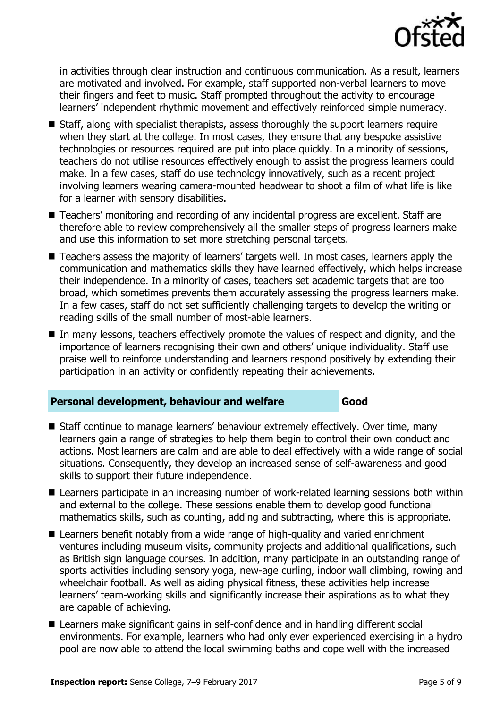

in activities through clear instruction and continuous communication. As a result, learners are motivated and involved. For example, staff supported non-verbal learners to move their fingers and feet to music. Staff prompted throughout the activity to encourage learners' independent rhythmic movement and effectively reinforced simple numeracy.

- Staff, along with specialist therapists, assess thoroughly the support learners require when they start at the college. In most cases, they ensure that any bespoke assistive technologies or resources required are put into place quickly. In a minority of sessions, teachers do not utilise resources effectively enough to assist the progress learners could make. In a few cases, staff do use technology innovatively, such as a recent project involving learners wearing camera-mounted headwear to shoot a film of what life is like for a learner with sensory disabilities.
- Teachers' monitoring and recording of any incidental progress are excellent. Staff are therefore able to review comprehensively all the smaller steps of progress learners make and use this information to set more stretching personal targets.
- Teachers assess the majority of learners' targets well. In most cases, learners apply the communication and mathematics skills they have learned effectively, which helps increase their independence. In a minority of cases, teachers set academic targets that are too broad, which sometimes prevents them accurately assessing the progress learners make. In a few cases, staff do not set sufficiently challenging targets to develop the writing or reading skills of the small number of most-able learners.
- In many lessons, teachers effectively promote the values of respect and dignity, and the importance of learners recognising their own and others' unique individuality. Staff use praise well to reinforce understanding and learners respond positively by extending their participation in an activity or confidently repeating their achievements.

### **Personal development, behaviour and welfare Good**

- Staff continue to manage learners' behaviour extremely effectively. Over time, many learners gain a range of strategies to help them begin to control their own conduct and actions. Most learners are calm and are able to deal effectively with a wide range of social situations. Consequently, they develop an increased sense of self-awareness and good skills to support their future independence.
- Learners participate in an increasing number of work-related learning sessions both within and external to the college. These sessions enable them to develop good functional mathematics skills, such as counting, adding and subtracting, where this is appropriate.
- Learners benefit notably from a wide range of high-quality and varied enrichment ventures including museum visits, community projects and additional qualifications, such as British sign language courses. In addition, many participate in an outstanding range of sports activities including sensory yoga, new-age curling, indoor wall climbing, rowing and wheelchair football. As well as aiding physical fitness, these activities help increase learners' team-working skills and significantly increase their aspirations as to what they are capable of achieving.
- Learners make significant gains in self-confidence and in handling different social environments. For example, learners who had only ever experienced exercising in a hydro pool are now able to attend the local swimming baths and cope well with the increased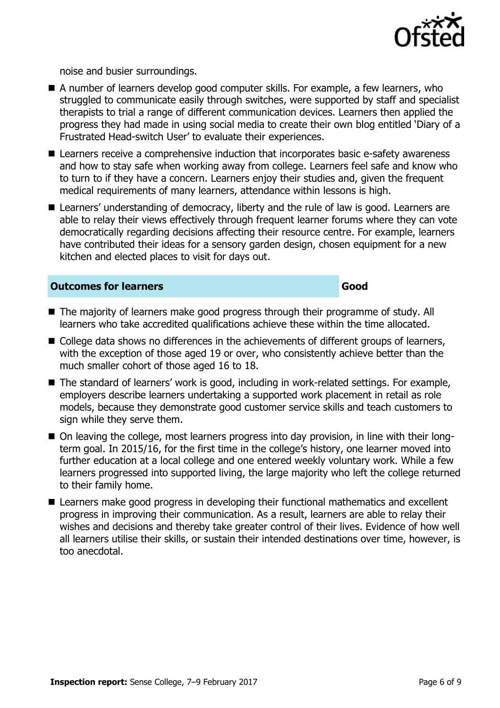

noise and busier surroundings.

- A number of learners develop good computer skills. For example, a few learners, who struggled to communicate easily through switches, were supported by staff and specialist therapists to trial a range of different communication devices. Learners then applied the progress they had made in using social media to create their own blog entitled 'Diary of a Frustrated Head-switch User' to evaluate their experiences.
- Learners receive a comprehensive induction that incorporates basic e-safety awareness and how to stay safe when working away from college. Learners feel safe and know who to turn to if they have a concern. Learners enjoy their studies and, given the frequent medical requirements of many learners, attendance within lessons is high.
- Learners' understanding of democracy, liberty and the rule of law is good. Learners are able to relay their views effectively through frequent learner forums where they can vote democratically regarding decisions affecting their resource centre. For example, learners have contributed their ideas for a sensory garden design, chosen equipment for a new kitchen and elected places to visit for days out.

### **Outcomes for learners Good**

- The majority of learners make good progress through their programme of study. All learners who take accredited qualifications achieve these within the time allocated.
- College data shows no differences in the achievements of different groups of learners, with the exception of those aged 19 or over, who consistently achieve better than the much smaller cohort of those aged 16 to 18.
- The standard of learners' work is good, including in work-related settings. For example, employers describe learners undertaking a supported work placement in retail as role models, because they demonstrate good customer service skills and teach customers to sign while they serve them.
- On leaving the college, most learners progress into day provision, in line with their longterm goal. In 2015/16, for the first time in the college's history, one learner moved into further education at a local college and one entered weekly voluntary work. While a few learners progressed into supported living, the large majority who left the college returned to their family home.
- Learners make good progress in developing their functional mathematics and excellent progress in improving their communication. As a result, learners are able to relay their wishes and decisions and thereby take greater control of their lives. Evidence of how well all learners utilise their skills, or sustain their intended destinations over time, however, is too anecdotal.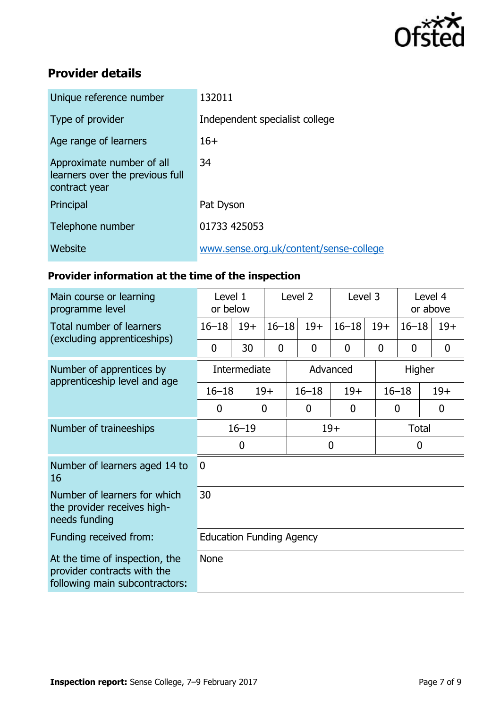

# **Provider details**

| Unique reference number                                                       | 132011                                 |
|-------------------------------------------------------------------------------|----------------------------------------|
| Type of provider                                                              | Independent specialist college         |
| Age range of learners                                                         | $16+$                                  |
| Approximate number of all<br>learners over the previous full<br>contract year | 34                                     |
| Principal                                                                     | Pat Dyson                              |
| Telephone number                                                              | 01733 425053                           |
| Website                                                                       | www.sense.org.uk/content/sense-college |

# **Provider information at the time of the inspection**

| Main course or learning<br>programme level                                                      | Level 1<br>or below             |       | Level 2     |              | Level 3        |             | Level 4<br>or above |                  |  |
|-------------------------------------------------------------------------------------------------|---------------------------------|-------|-------------|--------------|----------------|-------------|---------------------|------------------|--|
| Total number of learners<br>(excluding apprenticeships)                                         | $16 - 18$                       | $19+$ | $16 - 18$   | $19+$        | $16 - 18$      | $19+$       | $16 - 18$           | $19+$            |  |
|                                                                                                 | 0                               | 30    | $\mathbf 0$ | $\mathbf{0}$ | $\overline{0}$ | $\mathbf 0$ | $\mathbf 0$         | $\boldsymbol{0}$ |  |
| Number of apprentices by<br>apprenticeship level and age                                        | Intermediate                    |       |             | Advanced     |                |             | Higher              |                  |  |
|                                                                                                 | $16 - 18$                       |       | $19+$       | $16 - 18$    | $19+$          |             | $16 - 18$           | $19+$            |  |
|                                                                                                 | 0                               |       | 0           | 0            | 0              |             | $\boldsymbol{0}$    | $\boldsymbol{0}$ |  |
| Number of traineeships                                                                          | $16 - 19$                       |       |             | $19+$        |                |             | <b>Total</b>        |                  |  |
|                                                                                                 | 0                               |       |             | $\mathbf 0$  |                |             | $\mathbf 0$         |                  |  |
| Number of learners aged 14 to<br>16                                                             | $\Omega$                        |       |             |              |                |             |                     |                  |  |
| Number of learners for which<br>the provider receives high-<br>needs funding                    | 30                              |       |             |              |                |             |                     |                  |  |
| Funding received from:                                                                          | <b>Education Funding Agency</b> |       |             |              |                |             |                     |                  |  |
| At the time of inspection, the<br>provider contracts with the<br>following main subcontractors: | <b>None</b>                     |       |             |              |                |             |                     |                  |  |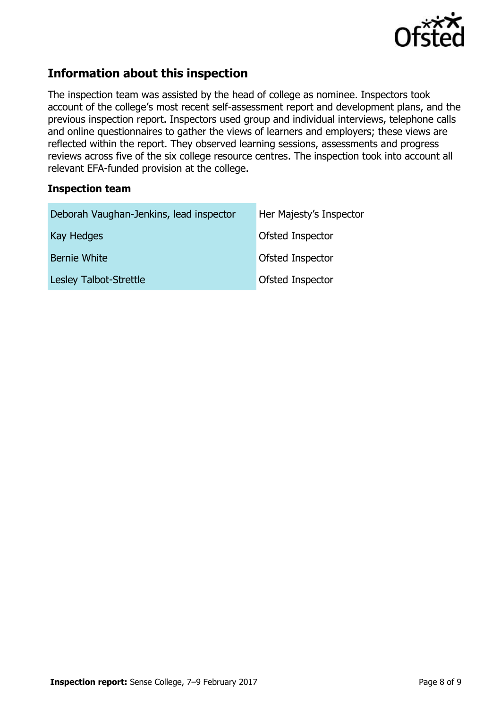

# **Information about this inspection**

The inspection team was assisted by the head of college as nominee. Inspectors took account of the college's most recent self-assessment report and development plans, and the previous inspection report. Inspectors used group and individual interviews, telephone calls and online questionnaires to gather the views of learners and employers; these views are reflected within the report. They observed learning sessions, assessments and progress reviews across five of the six college resource centres. The inspection took into account all relevant EFA-funded provision at the college.

# **Inspection team**

| Deborah Vaughan-Jenkins, lead inspector | Her Majesty's Inspector |
|-----------------------------------------|-------------------------|
| Kay Hedges                              | Ofsted Inspector        |
| Bernie White                            | Ofsted Inspector        |
| Lesley Talbot-Strettle                  | Ofsted Inspector        |